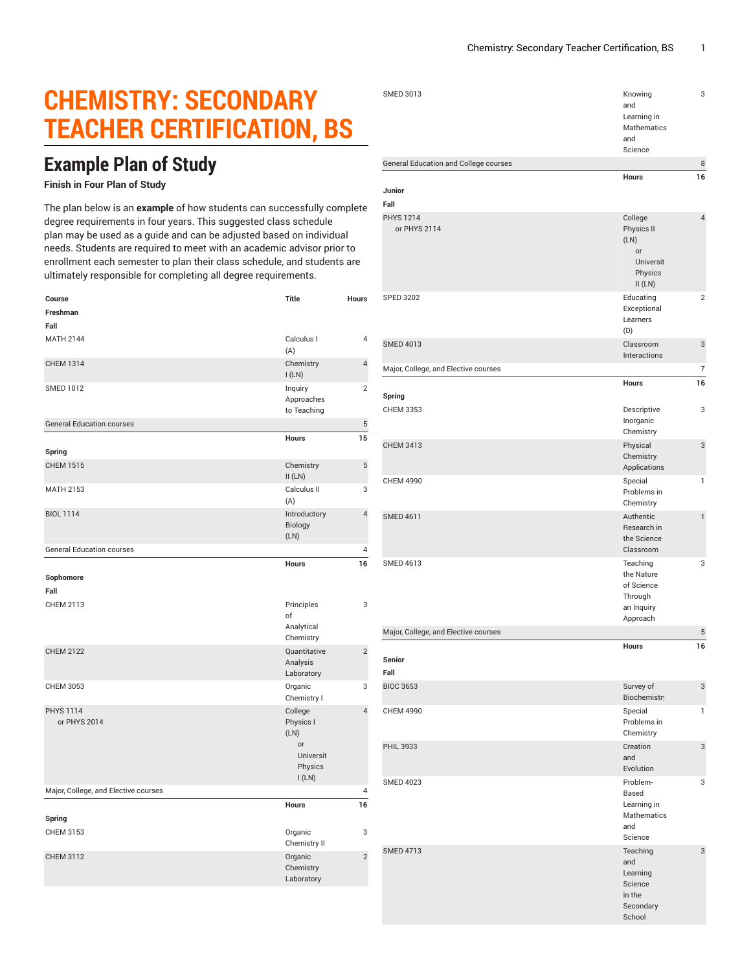## **CHEMISTRY: SECONDARY TEACHER CERTIFICATION, BS**

## **Example Plan of Study**

## **Finish in Four Plan of Study**

The plan below is an **example** of how students can successfully complete degree requirements in four years. This suggested class schedule plan may be used as a guide and can be adjusted based on individual needs. Students are required to meet with an academic advisor prior to enrollment each semester to plan their class schedule, and students are ultimately responsible for completing all degree requirements.

| Course                               | Title                                                               | Hours          |
|--------------------------------------|---------------------------------------------------------------------|----------------|
| Freshman                             |                                                                     |                |
| Fall                                 |                                                                     |                |
| <b>MATH 2144</b>                     | Calculus I<br>(A)                                                   | 4              |
| <b>CHEM 1314</b>                     | Chemistry<br>I(LN)                                                  | 4              |
| <b>SMED 1012</b>                     | Inquiry<br>Approaches<br>to Teaching                                | $\overline{2}$ |
| <b>General Education courses</b>     |                                                                     | 5              |
|                                      | Hours                                                               | 15             |
| Spring                               |                                                                     |                |
| <b>CHEM 1515</b>                     | Chemistry<br>II(LN)                                                 | 5              |
| <b>MATH 2153</b>                     | Calculus II<br>(A)                                                  | 3              |
| <b>BIOL 1114</b>                     | Introductory<br>Biology<br>(LN)                                     | $\overline{4}$ |
| <b>General Education courses</b>     |                                                                     | 4              |
|                                      | <b>Hours</b>                                                        | 16             |
| Sophomore<br>Fall                    |                                                                     |                |
| <b>CHEM 2113</b>                     | Principles<br>of<br>Analytical<br>Chemistry                         | 3              |
| <b>CHEM 2122</b>                     | Quantitative<br>Analysis<br>Laboratory                              | $\overline{c}$ |
| CHEM 3053                            | Organic<br>Chemistry I                                              | 3              |
| <b>PHYS 1114</b><br>or PHYS 2014     | College<br>Physics I<br>(LN)<br>or<br>Universit<br>Physics<br>I(LN) | $\overline{4}$ |
| Major, College, and Elective courses |                                                                     | 4              |
| Spring                               | <b>Hours</b>                                                        | 16             |
| CHEM 3153                            | Organic<br>Chemistry II                                             | 3              |
| <b>CHEM 3112</b>                     | Organic<br>Chemistry<br>Laboratory                                  | $\overline{2}$ |
|                                      |                                                                     |                |

| <b>SMED 3013</b>                      | Knowing<br>and<br>Learning in<br>Mathematics<br>and<br>Science            | 3              |
|---------------------------------------|---------------------------------------------------------------------------|----------------|
| General Education and College courses |                                                                           | 8              |
| Junior<br>Fall                        | <b>Hours</b>                                                              | 16             |
| <b>PHYS 1214</b><br>or PHYS 2114      | College<br>Physics II<br>(LN)<br>or<br>Universit<br>Physics<br>II(LN)     | $\overline{4}$ |
| <b>SPED 3202</b>                      | Educating<br>Exceptional<br>Learners<br>(D)                               | $\overline{2}$ |
| <b>SMED 4013</b>                      | Classroom<br>Interactions                                                 | 3              |
| Major, College, and Elective courses  | <b>Hours</b>                                                              | $\overline{7}$ |
| Spring                                |                                                                           | 16             |
| <b>CHEM 3353</b>                      | Descriptive<br>Inorganic<br>Chemistry                                     | 3              |
| <b>CHEM 3413</b>                      | Physical<br>Chemistry<br>Applications                                     | 3              |
| <b>CHEM 4990</b>                      | Special<br>Problems in<br>Chemistry                                       | $\mathbf{1}$   |
| <b>SMED 4611</b>                      | Authentic<br>Research in<br>the Science<br>Classroom                      | $\mathbf{1}$   |
| <b>SMED 4613</b>                      | Teaching<br>the Nature<br>of Science<br>Through<br>an Inquiry<br>Approach | 3              |
| Major, College, and Elective courses  |                                                                           | 5              |
| <b>Senior</b><br>Fall                 | Hours                                                                     | 16             |
| <b>BIOC 3653</b>                      | Survey of                                                                 | 3              |
| <b>CHEM 4990</b>                      | <b>Biochemistr</b><br>Special<br>Problems in<br>Chemistry                 | $\mathbf{1}$   |
| PHIL 3933                             | Creation<br>and<br>Evolution                                              | 3              |
| <b>SMED 4023</b>                      | Problem-<br>Based<br>Learning in<br>Mathematics<br>and<br>Science         | 3              |
| <b>SMED 4713</b>                      | Teaching<br>and<br>Learning<br>Science<br>in the<br>Secondary<br>School   | 3              |